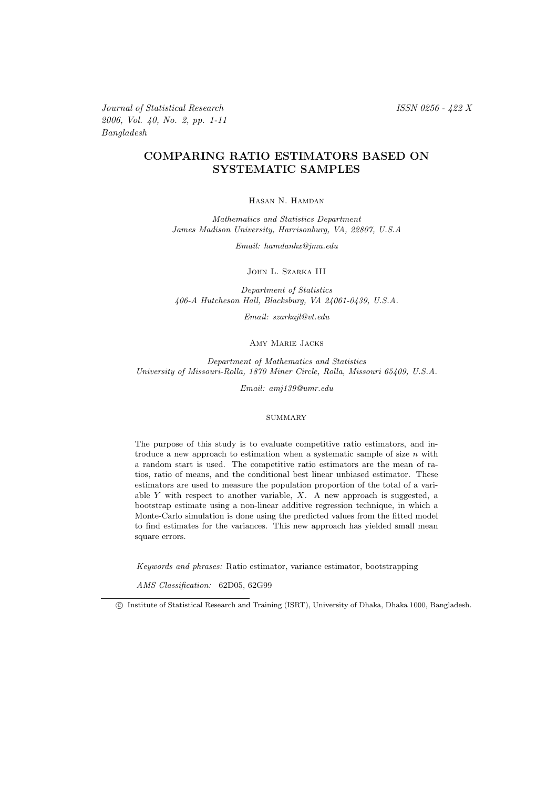Journal of Statistical Research ISSN 0256 - 422 X 2006, Vol. 40, No. 2, pp. 1-11 Bangladesh

### COMPARING RATIO ESTIMATORS BASED ON SYSTEMATIC SAMPLES

### Hasan N. Hamdan

*Mathematics and Statistics Department James Madison University, Harrisonburg, VA, 22807, U.S.A*

*Email: hamdanhx@jmu.edu*

John L. Szarka III

*Department of Statistics 406-A Hutcheson Hall, Blacksburg, VA 24061-0439, U.S.A.*

*Email: szarkajl@vt.edu*

Amy Marie Jacks

*Department of Mathematics and Statistics University of Missouri-Rolla, 1870 Miner Circle, Rolla, Missouri 65409, U.S.A.*

*Email: amj139@umr.edu*

#### **SUMMARY**

The purpose of this study is to evaluate competitive ratio estimators, and introduce a new approach to estimation when a systematic sample of size  $n$  with a random start is used. The competitive ratio estimators are the mean of ratios, ratio of means, and the conditional best linear unbiased estimator. These estimators are used to measure the population proportion of the total of a variable Y with respect to another variable, X. A new approach is suggested, a bootstrap estimate using a non-linear additive regression technique, in which a Monte-Carlo simulation is done using the predicted values from the fitted model to find estimates for the variances. This new approach has yielded small mean square errors.

*Keywords and phrases:* Ratio estimator, variance estimator, bootstrapping

*AMS Classification:* 62D05, 62G99

c Institute of Statistical Research and Training (ISRT), University of Dhaka, Dhaka 1000, Bangladesh.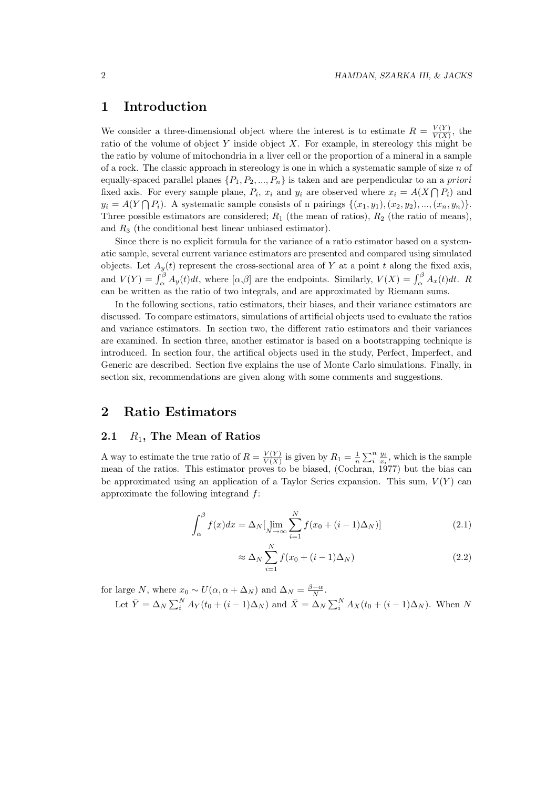## 1 Introduction

We consider a three-dimensional object where the interest is to estimate  $R = \frac{V(Y)}{V(X)}$  $\frac{V(Y)}{V(X)}$ , the ratio of the volume of object Y inside object X. For example, in stereology this might be the ratio by volume of mitochondria in a liver cell or the proportion of a mineral in a sample of a rock. The classic approach in stereology is one in which a systematic sample of size  $n$  of equally-spaced parallel planes  $\{P_1, P_2, ..., P_n\}$  is taken and are perpendicular to an a priori fixed axis. For every sample plane,  $P_i$ ,  $x_i$  and  $y_i$  are observed where  $x_i = A(X \cap P_i)$  and  $y_i = A(Y \cap P_i)$ . A systematic sample consists of n pairings  $\{(x_1, y_1), (x_2, y_2), ..., (x_n, y_n)\}.$ Three possible estimators are considered;  $R_1$  (the mean of ratios),  $R_2$  (the ratio of means), and  $R_3$  (the conditional best linear unbiased estimator).

Since there is no explicit formula for the variance of a ratio estimator based on a systematic sample, several current variance estimators are presented and compared using simulated objects. Let  $A_y(t)$  represent the cross-sectional area of Y at a point t along the fixed axis, and  $V(Y) = \int_{\alpha}^{\beta} A_y(t)dt$ , where  $[\alpha, \beta]$  are the endpoints. Similarly,  $V(X) = \int_{\alpha}^{\beta} A_x(t)dt$ . R can be written as the ratio of two integrals, and are approximated by Riemann sums.

In the following sections, ratio estimators, their biases, and their variance estimators are discussed. To compare estimators, simulations of artificial objects used to evaluate the ratios and variance estimators. In section two, the different ratio estimators and their variances are examined. In section three, another estimator is based on a bootstrapping technique is introduced. In section four, the artifical objects used in the study, Perfect, Imperfect, and Generic are described. Section five explains the use of Monte Carlo simulations. Finally, in section six, recommendations are given along with some comments and suggestions.

## 2 Ratio Estimators

### 2.1  $R_1$ , The Mean of Ratios

A way to estimate the true ratio of  $R = \frac{V(Y)}{V(X)}$  $\frac{V(Y)}{V(X)}$  is given by  $R_1 = \frac{1}{n} \sum_{i=1}^{n} \frac{y_i}{x_i}$ , which is the sample mean of the ratios. This estimator proves to be biased, (Cochran, 1977) but the bias can be approximated using an application of a Taylor Series expansion. This sum,  $V(Y)$  can approximate the following integrand f:

$$
\int_{\alpha}^{\beta} f(x)dx = \Delta_N \left[ \lim_{N \to \infty} \sum_{i=1}^{N} f(x_0 + (i-1)\Delta_N) \right]
$$
 (2.1)

$$
\approx \Delta_N \sum_{i=1}^N f(x_0 + (i-1)\Delta_N) \tag{2.2}
$$

for large N, where  $x_0 \sim U(\alpha, \alpha + \Delta_N)$  and  $\Delta_N = \frac{\beta - \alpha}{N}$ .

Let 
$$
\overline{Y} = \Delta_N \sum_i^N A_Y(t_0 + (i-1)\Delta_N)
$$
 and  $\overline{X} = \Delta_N \sum_i^N A_X(t_0 + (i-1)\Delta_N)$ . When N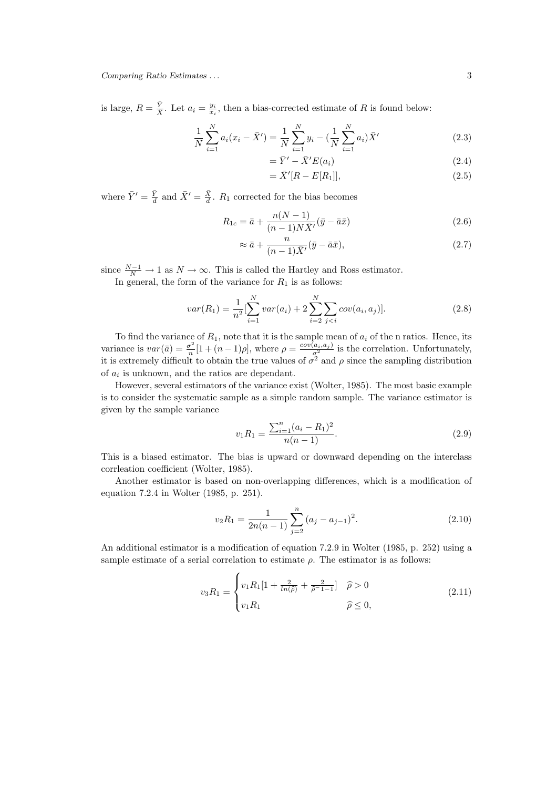is large,  $R = \frac{\bar{Y}}{\bar{X}}$ . Let  $a_i = \frac{y_i}{x_i}$ , then a bias-corrected estimate of R is found below:

$$
\frac{1}{N} \sum_{i=1}^{N} a_i (x_i - \bar{X}') = \frac{1}{N} \sum_{i=1}^{N} y_i - \left(\frac{1}{N} \sum_{i=1}^{N} a_i\right) \bar{X}'
$$
\n(2.3)

$$
=\bar{Y}' - \bar{X}'E(a_i) \tag{2.4}
$$

$$
= \bar{X}'[R - E[R_1]], \t(2.5)
$$

where  $\bar{Y}' = \frac{\bar{Y}}{d}$  and  $\bar{X}' = \frac{\bar{X}}{d}$ .  $R_1$  corrected for the bias becomes

$$
R_{1c} = \bar{a} + \frac{n(N-1)}{(n-1)N\bar{X}'}(\bar{y} - \bar{a}\bar{x})
$$
\n(2.6)

$$
\approx \bar{a} + \frac{n}{(n-1)\bar{X}'}(\bar{y} - \bar{a}\bar{x}),\tag{2.7}
$$

since  $\frac{N-1}{N} \to 1$  as  $N \to \infty$ . This is called the Hartley and Ross estimator.

In general, the form of the variance for  $R_1$  is as follows:

$$
var(R_1) = \frac{1}{n^2} \left[ \sum_{i=1}^{N} var(a_i) + 2 \sum_{i=2}^{N} \sum_{j < i} cov(a_i, a_j) \right]. \tag{2.8}
$$

To find the variance of  $R_1$ , note that it is the sample mean of  $a_i$  of the n ratios. Hence, its variance is  $var(\bar{a}) = \frac{\sigma^2}{n}$  $\frac{\sigma^2}{n}[1+(n-1)\rho]$ , where  $\rho = \frac{cov(a_i,a_j)}{\sigma^2}$  is the correlation. Unfortunately, it is extremely difficult to obtain the true values of  $\sigma^2$  and  $\rho$  since the sampling distribution of  $a_i$  is unknown, and the ratios are dependant.

However, several estimators of the variance exist (Wolter, 1985). The most basic example is to consider the systematic sample as a simple random sample. The variance estimator is given by the sample variance

$$
v_1 R_1 = \frac{\sum_{i=1}^{n} (a_i - R_1)^2}{n(n-1)}.
$$
\n(2.9)

This is a biased estimator. The bias is upward or downward depending on the interclass corrleation coefficient (Wolter, 1985).

Another estimator is based on non-overlapping differences, which is a modification of equation 7.2.4 in Wolter (1985, p. 251).

$$
v_2 R_1 = \frac{1}{2n(n-1)} \sum_{j=2}^{n} (a_j - a_{j-1})^2.
$$
 (2.10)

An additional estimator is a modification of equation 7.2.9 in Wolter (1985, p. 252) using a sample estimate of a serial correlation to estimate  $\rho$ . The estimator is as follows:

$$
v_3 R_1 = \begin{cases} v_1 R_1 [1 + \frac{2}{\ln(\hat{\rho})} + \frac{2}{\hat{\rho} - 1 - 1}] & \hat{\rho} > 0 \\ v_1 R_1 & \hat{\rho} \le 0, \end{cases}
$$
 (2.11)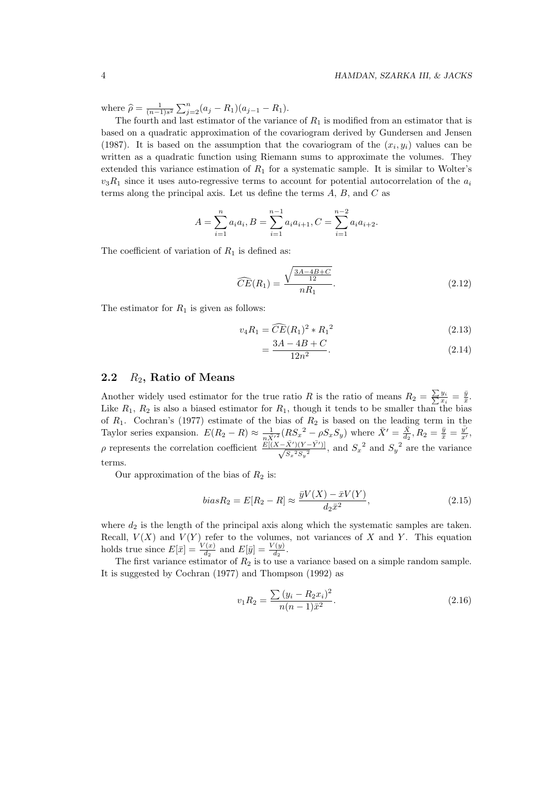where  $\hat{\rho} = \frac{1}{(n-1)s^2} \sum_{j=2}^n (a_j - R_1)(a_{j-1} - R_1).$ 

The fourth and last estimator of the variance of  $R_1$  is modified from an estimator that is based on a quadratic approximation of the covariogram derived by Gundersen and Jensen (1987). It is based on the assumption that the covariogram of the  $(x_i, y_i)$  values can be written as a quadratic function using Riemann sums to approximate the volumes. They extended this variance estimation of  $R_1$  for a systematic sample. It is similar to Wolter's  $v_3R_1$  since it uses auto-regressive terms to account for potential autocorrelation of the  $a_i$ terms along the principal axis. Let us define the terms  $A, B$ , and  $C$  as

$$
A = \sum_{i=1}^{n} a_i a_i, B = \sum_{i=1}^{n-1} a_i a_{i+1}, C = \sum_{i=1}^{n-2} a_i a_{i+2}.
$$

The coefficient of variation of  $R_1$  is defined as:

$$
\widehat{CE}(R_1) = \frac{\sqrt{\frac{3A - 4B + C}{12}}}{nR_1}.
$$
\n(2.12)

The estimator for  $R_1$  is given as follows:

$$
v_4 R_1 = \widehat{CE}(R_1)^2 * {R_1}^2 \tag{2.13}
$$

$$
=\frac{3A - 4B + C}{12n^2}.\tag{2.14}
$$

#### 2.2  $R_2$ , Ratio of Means

Another widely used estimator for the true ratio R is the ratio of means  $R_2 = \frac{\sum y_i}{\sum x_i} = \frac{\bar{y}}{\bar{x}}$ . Like  $R_1$ ,  $R_2$  is also a biased estimator for  $R_1$ , though it tends to be smaller than the bias of  $R_1$ . Cochran's (1977) estimate of the bias of  $R_2$  is based on the leading term in the Taylor series expansion.  $E(R_2 - R) \approx \frac{1}{n\bar{X}^{\prime2}}(RS_x^2 - \rho S_x S_y)$  where  $\bar{X}' = \frac{\bar{X}}{d_2}, R_2 = \frac{\bar{y}}{\bar{x}} = \frac{\bar{y}'}{x'}$  $\frac{y'}{x'}$ ,  $\rho$  represents the correlation coefficient  $\frac{E[(X-\bar{X}')(Y-\bar{Y}')]}{\sqrt{S^2S^2}}$  $\frac{(X') (Y - Y')}{S_x^2 S_y^2}$ , and  $S_x^2$  and  $S_y^2$  are the variance terms.

Our approximation of the bias of  $R_2$  is:

$$
biasR_2 = E[R_2 - R] \approx \frac{\bar{y}V(X) - \bar{x}V(Y)}{d_2\bar{x}^2},\tag{2.15}
$$

where  $d_2$  is the length of the principal axis along which the systematic samples are taken. Recall,  $V(X)$  and  $V(Y)$  refer to the volumes, not variances of X and Y. This equation holds true since  $E[\bar{x}] = \frac{V(x)}{d_2}$  and  $E[\bar{y}] = \frac{V(y)}{d_2}$ .

The first variance estimator of  $R_2$  is to use a variance based on a simple random sample. It is suggested by Cochran (1977) and Thompson (1992) as

$$
v_1 R_2 = \frac{\sum (y_i - R_2 x_i)^2}{n(n-1)\bar{x}^2}.
$$
\n(2.16)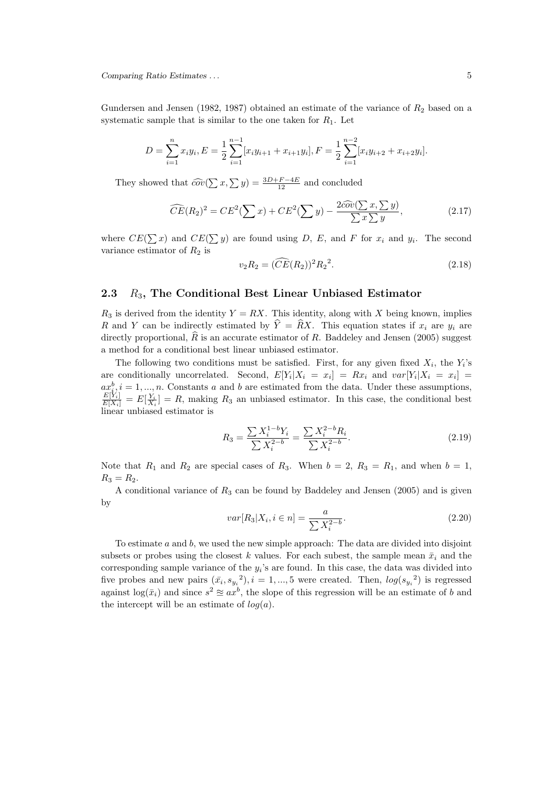Gundersen and Jensen (1982, 1987) obtained an estimate of the variance of  $R_2$  based on a systematic sample that is similar to the one taken for  $R_1$ . Let

$$
D = \sum_{i=1}^{n} x_i y_i, E = \frac{1}{2} \sum_{i=1}^{n-1} [x_i y_{i+1} + x_{i+1} y_i], F = \frac{1}{2} \sum_{i=1}^{n-2} [x_i y_{i+2} + x_{i+2} y_i].
$$

They showed that  $\widehat{cov}(\sum x, \sum y) = \frac{3D+F-4E}{12}$  and concluded

$$
\widehat{CE}(R_2)^2 = CE^2(\sum x) + CE^2(\sum y) - \frac{2\widehat{cov}(\sum x, \sum y)}{\sum x \sum y}, \tag{2.17}
$$

where  $CE(\sum x)$  and  $CE(\sum y)$  are found using D, E, and F for  $x_i$  and  $y_i$ . The second variance estimator of  $R_2$  is

$$
v_2 R_2 = (\widehat{CE}(R_2))^2 R_2^2. \tag{2.18}
$$

#### 2.3  $R_3$ , The Conditional Best Linear Unbiased Estimator

 $R_3$  is derived from the identity  $Y = RX$ . This identity, along with X being known, implies R and Y can be indirectly estimated by  $\hat{Y} = \hat{R}X$ . This equation states if  $x_i$  are  $y_i$  are directly proportional,  $\hat{R}$  is an accurate estimator of R. Baddeley and Jensen (2005) suggest a method for a conditional best linear unbiased estimator.

The following two conditions must be satisfied. First, for any given fixed  $X_i$ , the  $Y_i$ 's are conditionally uncorrelated. Second,  $E[Y_i|X_i = x_i] = Rx_i$  and  $var[Y_i|X_i = x_i] =$  $ax_{i}^{b}, i = 1, ..., n$ . Constants a and b are estimated from the data. Under these assumptions,  $\frac{E[Y_i]}{E[X_i]} = E[\frac{Y_i}{X_i}] = R$ , making  $R_3$  an unbiased estimator. In this case, the conditional best linear unbiased estimator is

$$
R_3 = \frac{\sum X_i^{1-b} Y_i}{\sum X_i^{2-b}} = \frac{\sum X_i^{2-b} R_i}{\sum X_i^{2-b}}.
$$
\n(2.19)

Note that  $R_1$  and  $R_2$  are special cases of  $R_3$ . When  $b = 2$ ,  $R_3 = R_1$ , and when  $b = 1$ ,  $R_3 = R_2.$ 

A conditional variance of  $R_3$  can be found by Baddeley and Jensen (2005) and is given by

$$
var[R_3|X_i, i \in n] = \frac{a}{\sum X_i^{2-b}}.\tag{2.20}
$$

To estimate  $a$  and  $b$ , we used the new simple approach: The data are divided into disjoint subsets or probes using the closest k values. For each subset, the sample mean  $\bar{x}_i$  and the corresponding sample variance of the  $y_i$ 's are found. In this case, the data was divided into five probes and new pairs  $(\bar{x}_i, s_{y_i}^2), i = 1, ..., 5$  were created. Then,  $log(s_{y_i}^2)$  is regressed against  $log(\bar{x}_i)$  and since  $s^2 \approx ax^b$ , the slope of this regression will be an estimate of b and the intercept will be an estimate of  $log(a)$ .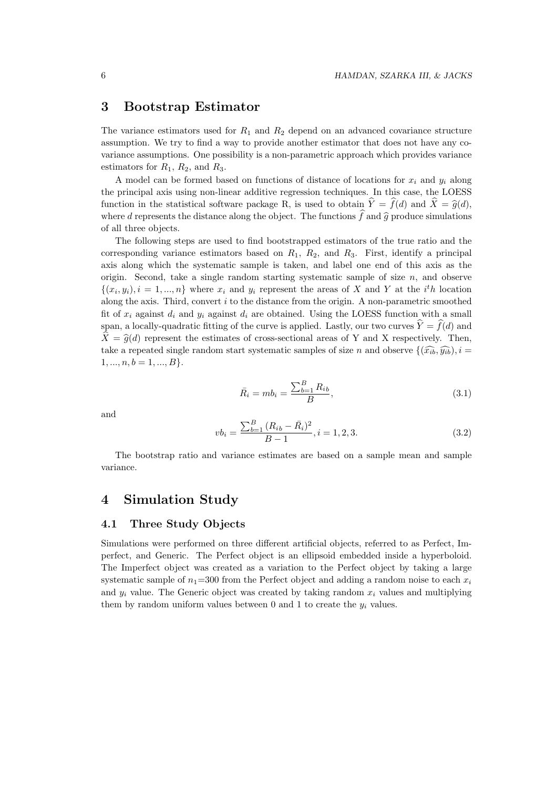## 3 Bootstrap Estimator

The variance estimators used for  $R_1$  and  $R_2$  depend on an advanced covariance structure assumption. We try to find a way to provide another estimator that does not have any covariance assumptions. One possibility is a non-parametric approach which provides variance estimators for  $R_1$ ,  $R_2$ , and  $R_3$ .

A model can be formed based on functions of distance of locations for  $x_i$  and  $y_i$  along the principal axis using non-linear additive regression techniques. In this case, the LOESS function in the statistical software package R, is used to obtain  $\hat{Y} = \hat{f}(d)$  and  $\hat{X} = \hat{g}(d)$ , where d represents the distance along the object. The functions  $\hat{f}$  and  $\hat{g}$  produce simulations of all three objects.

The following steps are used to find bootstrapped estimators of the true ratio and the corresponding variance estimators based on  $R_1$ ,  $R_2$ , and  $R_3$ . First, identify a principal axis along which the systematic sample is taken, and label one end of this axis as the origin. Second, take a single random starting systematic sample of size  $n$ , and observe  $\{(x_i, y_i), i = 1, ..., n\}$  where  $x_i$  and  $y_i$  represent the areas of X and Y at the  $i^t h$  location along the axis. Third, convert  $i$  to the distance from the origin. A non-parametric smoothed fit of  $x_i$  against  $d_i$  and  $y_i$  against  $d_i$  are obtained. Using the LOESS function with a small span, a locally-quadratic fitting of the curve is applied. Lastly, our two curves  $\hat{Y} = \hat{f}(d)$  and  $\hat{X} = \hat{g}(d)$  represent the estimates of cross-sectional areas of Y and X respectively. Then, take a repeated single random start systematic samples of size n and observe  $\{(\widehat{x}_{ih}, \widehat{y}_{ih}), i =$  $1, ..., n, b = 1, ..., B$ .

$$
\bar{R}_i = mb_i = \frac{\sum_{b=1}^{B} R_{ib}}{B},\tag{3.1}
$$

and

$$
vb_i = \frac{\sum_{b=1}^{B} (R_{ib} - \bar{R}_i)^2}{B - 1}, i = 1, 2, 3.
$$
\n(3.2)

The bootstrap ratio and variance estimates are based on a sample mean and sample variance.

# 4 Simulation Study

#### 4.1 Three Study Objects

Simulations were performed on three different artificial objects, referred to as Perfect, Imperfect, and Generic. The Perfect object is an ellipsoid embedded inside a hyperboloid. The Imperfect object was created as a variation to the Perfect object by taking a large systematic sample of  $n_1$ =300 from the Perfect object and adding a random noise to each  $x_i$ and  $y_i$  value. The Generic object was created by taking random  $x_i$  values and multiplying them by random uniform values between 0 and 1 to create the  $y_i$  values.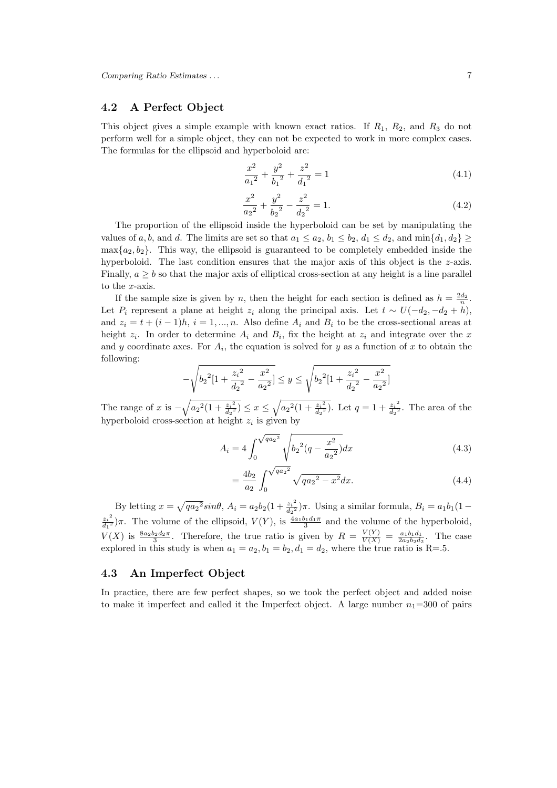### 4.2 A Perfect Object

This object gives a simple example with known exact ratios. If  $R_1$ ,  $R_2$ , and  $R_3$  do not perform well for a simple object, they can not be expected to work in more complex cases. The formulas for the ellipsoid and hyperboloid are:

$$
\frac{x^2}{a_1{}^2} + \frac{y^2}{b_1{}^2} + \frac{z^2}{d_1{}^2} = 1\tag{4.1}
$$

$$
\frac{x^2}{a_2^2} + \frac{y^2}{b_2^2} - \frac{z^2}{d_2^2} = 1.
$$
\n(4.2)

The proportion of the ellipsoid inside the hyperboloid can be set by manipulating the values of a, b, and d. The limits are set so that  $a_1 \le a_2$ ,  $b_1 \le b_2$ ,  $d_1 \le d_2$ , and  $\min\{d_1, d_2\} \ge$  $\max\{a_2, b_2\}$ . This way, the ellipsoid is guaranteed to be completely embedded inside the hyperboloid. The last condition ensures that the major axis of this object is the  $z$ -axis. Finally,  $a \geq b$  so that the major axis of elliptical cross-section at any height is a line parallel to the x-axis.

If the sample size is given by n, then the height for each section is defined as  $h = \frac{2d_2}{n}$ . Let  $P_i$  represent a plane at height  $z_i$  along the principal axis. Let  $t \sim U(-d_2, -d_2 + h)$ , and  $z_i = t + (i - 1)h$ ,  $i = 1, ..., n$ . Also define  $A_i$  and  $B_i$  to be the cross-sectional areas at height  $z_i$ . In order to determine  $A_i$  and  $B_i$ , fix the height at  $z_i$  and integrate over the x and y coordinate axes. For  $A_i$ , the equation is solved for y as a function of x to obtain the following:

$$
-\sqrt{b_2^2\left[1+\frac{{z_i}^2}{d_2^2}-\frac{x^2}{a_2^2}\right]}\leq y\leq \sqrt{b_2^2\left[1+\frac{{z_i}^2}{d_2^2}-\frac{x^2}{a_2^2}\right]}
$$

The range of x is  $-\sqrt{a_2^2(1+\frac{z_i^2}{d_2^2})}$  $\frac{z_i^2}{d_2^2}$ )  $\leq x \leq \sqrt{a_2^2(1+\frac{z_i^2}{d_2^2})}$  $\frac{\overline{z_i^2}}{d_2^2}$ . Let  $q=1+\frac{\overline{z_i}^2}{d_2^2}$  $\frac{z_i}{d_2^2}$ . The area of the hyperboloid cross-section at height  $z_i$  is given by

$$
A_i = 4 \int_0^{\sqrt{q a_2^2}} \sqrt{b_2^2 (q - \frac{x^2}{a_2^2})} dx
$$
 (4.3)

$$
=\frac{4b_2}{a_2} \int_0^{\sqrt{qa_2^2}} \sqrt{qa_2^2 - x^2} dx.
$$
\n(4.4)

By letting  $x = \sqrt{qa_2^2}sin\theta$ ,  $A_i = a_2b_2(1 + \frac{z_i^2}{d_2^2})\pi$ . Using a similar formula,  $B_i = a_1b_1(1 - \frac{z_i^2}{d_1^2})$  $d_2$  $z_i^2$  $\frac{z_i^2}{d_1^2}$ )π. The volume of the ellipsoid,  $V(Y)$ , is  $\frac{4a_1b_1d_1\pi}{3}$  and the volume of the hyperboloid,  $V(X)$  is  $\frac{8a_2b_2d_2\pi}{3}$ . Therefore, the true ratio is given by  $R = \frac{V(Y)}{V(X)} = \frac{a_1b_1d_1}{2a_2b_2d_2}$ . The case explored in this study is when  $a_1 = a_2, b_1 = b_2, d_1 = d_2$ , where the true ratio is R=.5.

### 4.3 An Imperfect Object

In practice, there are few perfect shapes, so we took the perfect object and added noise to make it imperfect and called it the Imperfect object. A large number  $n_1$ =300 of pairs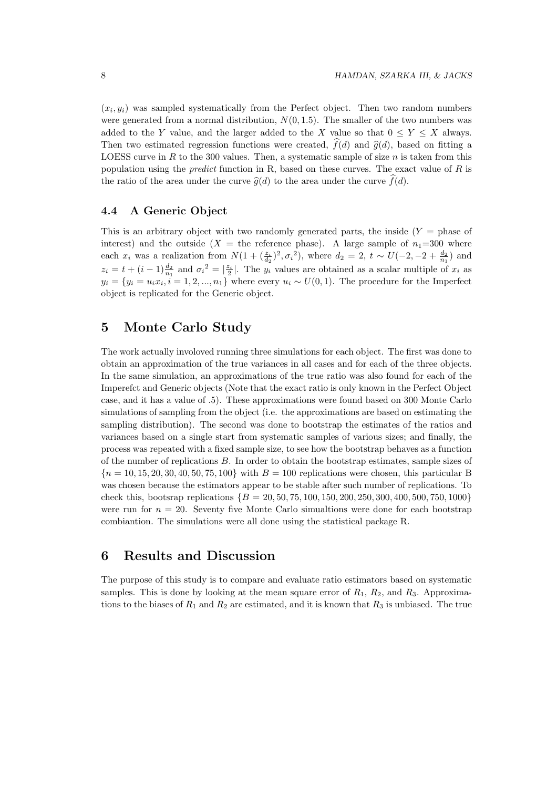$(x_i, y_i)$  was sampled systematically from the Perfect object. Then two random numbers were generated from a normal distribution,  $N(0, 1.5)$ . The smaller of the two numbers was added to the Y value, and the larger added to the X value so that  $0 \le Y \le X$  always. Then two estimated regression functions were created,  $\hat{f}(d)$  and  $\hat{g}(d)$ , based on fitting a LOESS curve in R to the 300 values. Then, a systematic sample of size  $n$  is taken from this population using the *predict* function in R, based on these curves. The exact value of  $R$  is the ratio of the area under the curve  $\hat{q}(d)$  to the area under the curve  $\hat{f}(d)$ .

#### 4.4 A Generic Object

This is an arbitrary object with two randomly generated parts, the inside  $(Y = \text{phase of})$ interest) and the outside ( $X =$  the reference phase). A large sample of  $n_1=300$  where each  $x_i$  was a realization from  $N(1+(\frac{z_i}{d_2})^2, \sigma_i^2)$ , where  $d_2 = 2$ ,  $t \sim U(-2, -2 + \frac{d_2}{n_1})$  and  $z_i = t + (i-1)\frac{d_2}{n_1}$  and  $\sigma_i^2 = |\frac{z_i}{2}|$ . The  $y_i$  values are obtained as a scalar multiple of  $x_i$  as  $y_i = \{y_i = u_i x_i, i = 1, 2, ..., n_1\}$  where every  $u_i \sim U(0, 1)$ . The procedure for the Imperfect object is replicated for the Generic object.

## 5 Monte Carlo Study

The work actually involoved running three simulations for each object. The first was done to obtain an approximation of the true variances in all cases and for each of the three objects. In the same simulation, an approximations of the true ratio was also found for each of the Imperefct and Generic objects (Note that the exact ratio is only known in the Perfect Object case, and it has a value of .5). These approximations were found based on 300 Monte Carlo simulations of sampling from the object (i.e. the approximations are based on estimating the sampling distribution). The second was done to bootstrap the estimates of the ratios and variances based on a single start from systematic samples of various sizes; and finally, the process was repeated with a fixed sample size, to see how the bootstrap behaves as a function of the number of replications B. In order to obtain the bootstrap estimates, sample sizes of  ${n = 10, 15, 20, 30, 40, 50, 75, 100}$  with  $B = 100$  replications were chosen, this particular B was chosen because the estimators appear to be stable after such number of replications. To check this, bootsrap replications  $\{B = 20, 50, 75, 100, 150, 200, 250, 300, 400, 500, 750, 1000\}$ were run for  $n = 20$ . Seventy five Monte Carlo simualtions were done for each bootstrap combiantion. The simulations were all done using the statistical package R.

## 6 Results and Discussion

The purpose of this study is to compare and evaluate ratio estimators based on systematic samples. This is done by looking at the mean square error of  $R_1$ ,  $R_2$ , and  $R_3$ . Approximations to the biases of  $R_1$  and  $R_2$  are estimated, and it is known that  $R_3$  is unbiased. The true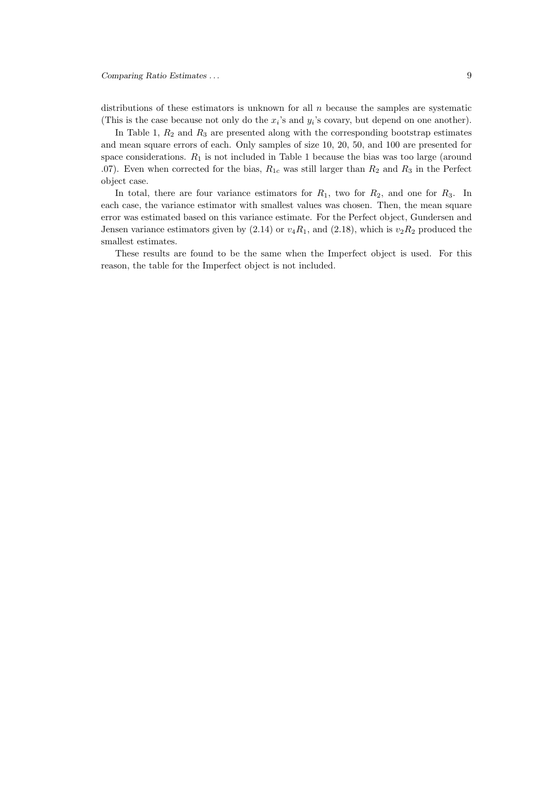distributions of these estimators is unknown for all  $n$  because the samples are systematic (This is the case because not only do the  $x_i$ 's and  $y_i$ 's covary, but depend on one another).

In Table 1,  $R_2$  and  $R_3$  are presented along with the corresponding bootstrap estimates and mean square errors of each. Only samples of size 10, 20, 50, and 100 are presented for space considerations.  $R_1$  is not included in Table 1 because the bias was too large (around .07). Even when corrected for the bias,  $R_{1c}$  was still larger than  $R_2$  and  $R_3$  in the Perfect object case.

In total, there are four variance estimators for  $R_1$ , two for  $R_2$ , and one for  $R_3$ . In each case, the variance estimator with smallest values was chosen. Then, the mean square error was estimated based on this variance estimate. For the Perfect object, Gundersen and Jensen variance estimators given by  $(2.14)$  or  $v_4R_1$ , and  $(2.18)$ , which is  $v_2R_2$  produced the smallest estimates.

These results are found to be the same when the Imperfect object is used. For this reason, the table for the Imperfect object is not included.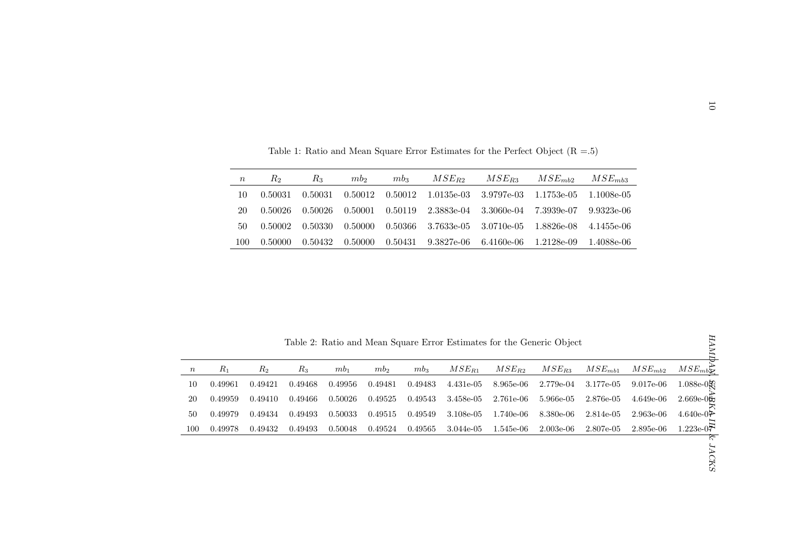| $\boldsymbol{n}$ | Rэ      | K3.     | mb <sub>2</sub> | mb <sub>3</sub> | $MSE_{B2}$                                                           | $MSE_{R3}$ $MSE_{mb2}$ $MSE_{mb3}$ |              |
|------------------|---------|---------|-----------------|-----------------|----------------------------------------------------------------------|------------------------------------|--------------|
| 10               | 0.50031 |         |                 |                 | $0.50031$ $0.50012$ $0.50012$ $1.0135e-03$ $3.9797e-03$ $1.1753e-05$ |                                    | 1.1008e-05   |
| 20               | 0.50026 | 0.50026 | 0.50001         |                 | $0.50119$ $2.3883e-04$ $3.3060e-04$ $7.3939e-07$ $9.9323e-06$        |                                    |              |
| 50               | 0.50002 |         | 0.50330 0.50000 |                 | $0.50366$ $3.7633e-05$ $3.0710e-05$ $1.8826e-08$                     |                                    | 4.1455e-06   |
| 100              | 0.50000 | 0.50432 | 0.50000         |                 | $0.50431$ $9.3827e-06$ $6.4160e-06$ $1.2128e-09$                     |                                    | - 1.4088e-06 |

Table 2: Ratio and Mean Square Error Estimates for the Generic Object

| $\boldsymbol{n}$   | $R_2$              | $R_3$              | $mb_2$             |                    | $mb_3$             | $MSE_{R2}$             | $MSE_{R3}$             | $MSE_{mb2}$                                                           | $MSE_{mb3}$            |                        |                                                                                 |
|--------------------|--------------------|--------------------|--------------------|--------------------|--------------------|------------------------|------------------------|-----------------------------------------------------------------------|------------------------|------------------------|---------------------------------------------------------------------------------|
| 10                 | 0.50031            | 0.50031            | 0.50012            |                    | 0.50012            | $1.0135e-03$           | 3.9797e-03             | 1.1753e-05                                                            | 1.1008e-05             |                        |                                                                                 |
| 20                 | 0.50026            | 0.50026            | 0.50001            |                    | 0.50119            | 2.3883e-04             | 3.3060e-04             | 7.3939e-07                                                            | 9.9323e-06             |                        |                                                                                 |
| 50                 | 0.50002            | 0.50330            | 0.50000            |                    | 0.50366            | 3.7633e-05             | 3.0710e-05             | 1.8826e-08                                                            | 4.1455e-06             |                        |                                                                                 |
| 100                | 0.50000            | 0.50432            | 0.50000            |                    | 0.50431            | 9.3827e-06             | 6.4160e-06             | 1.2128e-09                                                            | 1.4088e-06             |                        |                                                                                 |
|                    |                    |                    |                    |                    |                    |                        |                        |                                                                       |                        |                        |                                                                                 |
|                    |                    |                    |                    |                    |                    |                        |                        | Table 2: Ratio and Mean Square Error Estimates for the Generic Object |                        |                        |                                                                                 |
|                    |                    |                    |                    |                    |                    |                        |                        |                                                                       |                        |                        |                                                                                 |
| $R_1$              | $R_{2}$            | $R_3$              | $mb_1$             | $mb_2$             | $mb_3$             | $MSE_{R1}$             | $MSE_{R2}$             | $MSE_{R3}$                                                            | $MSE_{mb1}$            | $MSE_{mb2}$            |                                                                                 |
| 0.49961<br>0.49959 | 0.49421<br>0.49410 | 0.49468<br>0.49466 | 0.49956<br>0.50026 | 0.49481<br>0.49525 | 0.49483<br>0.49543 | 4.431e-05<br>3.458e-05 | 8.965e-06<br>2.761e-06 | 2.779e-04<br>5.966e-05                                                | 3.177e-05<br>2.876e-05 | 9.017e-06<br>4.649e-06 |                                                                                 |
| 0.49979            | 0.49434            | 0.49493            | 0.50033            | 0.49515            | 0.49549            | 3.108e-05              | 1.740e-06              | 8.380e-06                                                             | 2.814e-05              | 2.963e-06              | $MSE_{mb}$<br>$1.088e-0$<br>$2.669e-0$<br>4.640e-0 <sup><math>\geq</math></sup> |